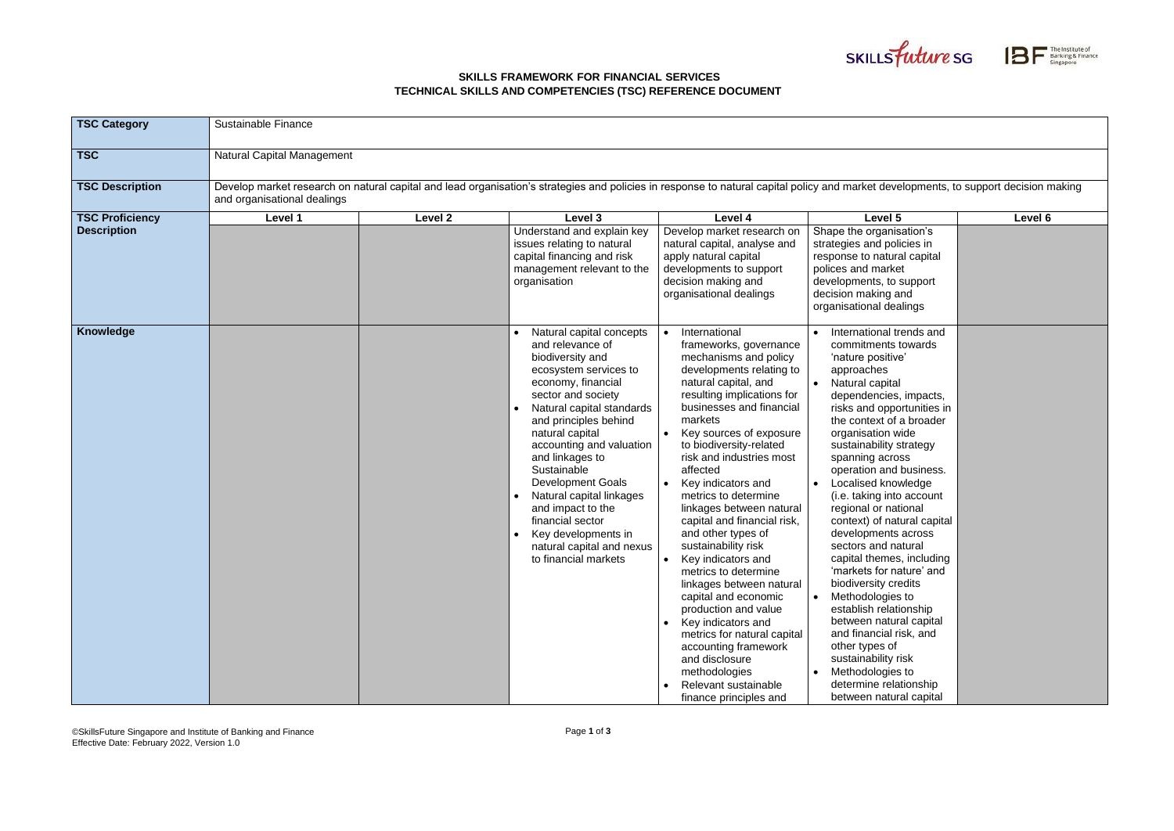## **SKILLS FRAMEWORK FOR FINANCIAL SERVICES TECHNICAL SKILLS AND COMPETENCIES (TSC) REFERENCE DOCUMENT**

©SkillsFuture Singapore and Institute of Banking and Finance Effective Date: February 2022, Version 1.0





| <b>TSC Category</b>    | Sustainable Finance                                                                                                                                                                                                 |         |                                                                                                                                                                                                                                                                                                                                                                                                                                                           |                                                                                                                                                                                                                                                                                                                                                                                                                                                                                                                                                                                                                                                                                                                                           |                                                                                                                                                                                                                                                                                                                                                                                                                                                                                                                                                                                                                                                                                                                                                             |         |
|------------------------|---------------------------------------------------------------------------------------------------------------------------------------------------------------------------------------------------------------------|---------|-----------------------------------------------------------------------------------------------------------------------------------------------------------------------------------------------------------------------------------------------------------------------------------------------------------------------------------------------------------------------------------------------------------------------------------------------------------|-------------------------------------------------------------------------------------------------------------------------------------------------------------------------------------------------------------------------------------------------------------------------------------------------------------------------------------------------------------------------------------------------------------------------------------------------------------------------------------------------------------------------------------------------------------------------------------------------------------------------------------------------------------------------------------------------------------------------------------------|-------------------------------------------------------------------------------------------------------------------------------------------------------------------------------------------------------------------------------------------------------------------------------------------------------------------------------------------------------------------------------------------------------------------------------------------------------------------------------------------------------------------------------------------------------------------------------------------------------------------------------------------------------------------------------------------------------------------------------------------------------------|---------|
| <b>TSC</b>             | Natural Capital Management                                                                                                                                                                                          |         |                                                                                                                                                                                                                                                                                                                                                                                                                                                           |                                                                                                                                                                                                                                                                                                                                                                                                                                                                                                                                                                                                                                                                                                                                           |                                                                                                                                                                                                                                                                                                                                                                                                                                                                                                                                                                                                                                                                                                                                                             |         |
| <b>TSC Description</b> | Develop market research on natural capital and lead organisation's strategies and policies in response to natural capital policy and market developments, to support decision making<br>and organisational dealings |         |                                                                                                                                                                                                                                                                                                                                                                                                                                                           |                                                                                                                                                                                                                                                                                                                                                                                                                                                                                                                                                                                                                                                                                                                                           |                                                                                                                                                                                                                                                                                                                                                                                                                                                                                                                                                                                                                                                                                                                                                             |         |
| <b>TSC Proficiency</b> | Level 1                                                                                                                                                                                                             | Level 2 | Level 3                                                                                                                                                                                                                                                                                                                                                                                                                                                   | Level 4                                                                                                                                                                                                                                                                                                                                                                                                                                                                                                                                                                                                                                                                                                                                   | Level 5                                                                                                                                                                                                                                                                                                                                                                                                                                                                                                                                                                                                                                                                                                                                                     | Level 6 |
| <b>Description</b>     |                                                                                                                                                                                                                     |         | Understand and explain key<br>issues relating to natural<br>capital financing and risk<br>management relevant to the<br>organisation                                                                                                                                                                                                                                                                                                                      | Develop market research on<br>natural capital, analyse and<br>apply natural capital<br>developments to support<br>decision making and<br>organisational dealings                                                                                                                                                                                                                                                                                                                                                                                                                                                                                                                                                                          | Shape the organisation's<br>strategies and policies in<br>response to natural capital<br>polices and market<br>developments, to support<br>decision making and<br>organisational dealings                                                                                                                                                                                                                                                                                                                                                                                                                                                                                                                                                                   |         |
| Knowledge              |                                                                                                                                                                                                                     |         | Natural capital concepts<br>and relevance of<br>biodiversity and<br>ecosystem services to<br>economy, financial<br>sector and society<br>Natural capital standards<br>and principles behind<br>natural capital<br>accounting and valuation<br>and linkages to<br>Sustainable<br><b>Development Goals</b><br>Natural capital linkages<br>and impact to the<br>financial sector<br>Key developments in<br>natural capital and nexus<br>to financial markets | International<br>frameworks, governance<br>mechanisms and policy<br>developments relating to<br>natural capital, and<br>resulting implications for<br>businesses and financial<br>markets<br>Key sources of exposure<br>to biodiversity-related<br>risk and industries most<br>affected<br>Key indicators and<br>metrics to determine<br>linkages between natural<br>capital and financial risk,<br>and other types of<br>sustainability risk<br>Key indicators and<br>metrics to determine<br>linkages between natural<br>capital and economic<br>production and value<br>Key indicators and<br>metrics for natural capital<br>accounting framework<br>and disclosure<br>methodologies<br>Relevant sustainable<br>finance principles and | • International trends and<br>commitments towards<br>'nature positive'<br>approaches<br>Natural capital<br>dependencies, impacts,<br>risks and opportunities in<br>the context of a broader<br>organisation wide<br>sustainability strategy<br>spanning across<br>operation and business.<br>Localised knowledge<br>(i.e. taking into account<br>regional or national<br>context) of natural capital<br>developments across<br>sectors and natural<br>capital themes, including<br>'markets for nature' and<br>biodiversity credits<br>• Methodologies to<br>establish relationship<br>between natural capital<br>and financial risk, and<br>other types of<br>sustainability risk<br>Methodologies to<br>determine relationship<br>between natural capital |         |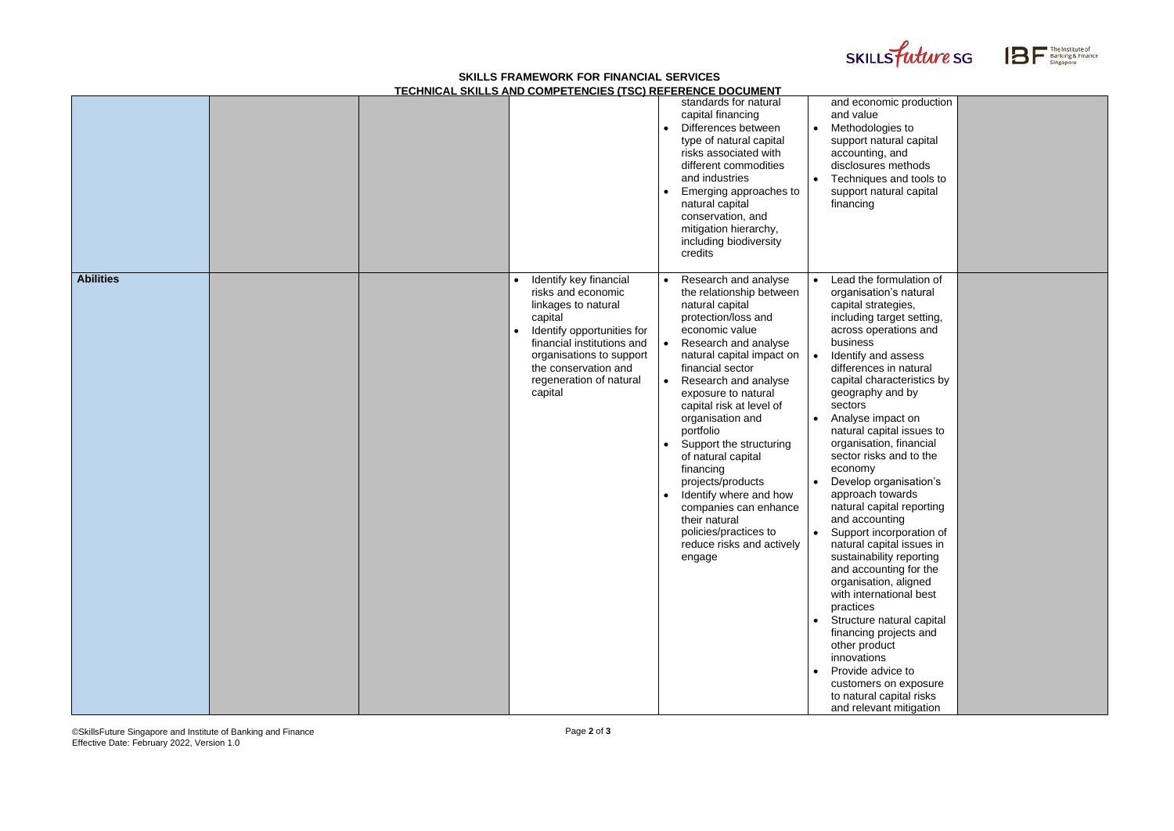## **SKILLS FRAMEWORK FOR FINANCIAL SERVICES TECHNICAL SKILLS AND COMPETENCIES (TSC) REFERENCE DOCUMENT**

©SkillsFuture Singapore and Institute of Banking and Finance Effective Date: February 2022, Version 1.0





| and economic production<br>and value<br>Methodologies to<br>support natural capital<br>accounting, and<br>disclosures methods<br>Techniques and tools to<br>support natural capital<br>financing                                                                                                                                                                                                                                                                                                                                                                                                                                                                                                                                 |  |
|----------------------------------------------------------------------------------------------------------------------------------------------------------------------------------------------------------------------------------------------------------------------------------------------------------------------------------------------------------------------------------------------------------------------------------------------------------------------------------------------------------------------------------------------------------------------------------------------------------------------------------------------------------------------------------------------------------------------------------|--|
| Lead the formulation of<br>organisation's natural<br>capital strategies,<br>including target setting,<br>across operations and<br>business<br>Identify and assess<br>differences in natural<br>capital characteristics by<br>geography and by<br>sectors<br>Analyse impact on<br>natural capital issues to<br>organisation, financial<br>sector risks and to the<br>economy<br>Develop organisation's<br>approach towards<br>natural capital reporting<br>and accounting<br>Support incorporation of<br>natural capital issues in<br>sustainability reporting<br>and accounting for the<br>organisation, aligned<br>with international best<br>practices<br>Structure natural capital<br>financing projects and<br>other product |  |
| innovations<br>Provide advice to<br>customers on exposure<br>to natural capital risks<br>and relevant mitigation                                                                                                                                                                                                                                                                                                                                                                                                                                                                                                                                                                                                                 |  |

|                  | LOI INTOAL UNILLU AND UUMI LTLNUILU (TUU) NLI LNLNUL DUUUMLIT                                                                                                                                                                                                  |                                                                                                                                                                                                                                                                                                                                                                                                                                                                                                                                                                 |                                                                                                                                                                                                                                                                                                                                                                                                                                                                                                                                                                                                                                                                                                                                                                                                                                                                                                                       |
|------------------|----------------------------------------------------------------------------------------------------------------------------------------------------------------------------------------------------------------------------------------------------------------|-----------------------------------------------------------------------------------------------------------------------------------------------------------------------------------------------------------------------------------------------------------------------------------------------------------------------------------------------------------------------------------------------------------------------------------------------------------------------------------------------------------------------------------------------------------------|-----------------------------------------------------------------------------------------------------------------------------------------------------------------------------------------------------------------------------------------------------------------------------------------------------------------------------------------------------------------------------------------------------------------------------------------------------------------------------------------------------------------------------------------------------------------------------------------------------------------------------------------------------------------------------------------------------------------------------------------------------------------------------------------------------------------------------------------------------------------------------------------------------------------------|
|                  |                                                                                                                                                                                                                                                                | standards for natural<br>capital financing<br>Differences between<br>type of natural capital<br>risks associated with<br>different commodities<br>and industries<br>Emerging approaches to<br>$\bullet$<br>natural capital<br>conservation, and<br>mitigation hierarchy,<br>including biodiversity<br>credits                                                                                                                                                                                                                                                   | and economic production<br>and value<br>Methodologies to<br>$\bullet$<br>support natural capital<br>accounting, and<br>disclosures methods<br>Techniques and tools to<br>support natural capital<br>financing                                                                                                                                                                                                                                                                                                                                                                                                                                                                                                                                                                                                                                                                                                         |
| <b>Abilities</b> | Identify key financial<br>$\bullet$<br>risks and economic<br>linkages to natural<br>capital<br>Identify opportunities for<br>$\bullet$<br>financial institutions and<br>organisations to support<br>the conservation and<br>regeneration of natural<br>capital | Research and analyse<br>the relationship between<br>natural capital<br>protection/loss and<br>economic value<br>Research and analyse<br>natural capital impact on<br>financial sector<br>Research and analyse<br>$\bullet$<br>exposure to natural<br>capital risk at level of<br>organisation and<br>portfolio<br>Support the structuring<br>$\bullet$<br>of natural capital<br>financing<br>projects/products<br>Identify where and how<br>$\bullet$<br>companies can enhance<br>their natural<br>policies/practices to<br>reduce risks and actively<br>engage | Lead the formulation of<br>$\bullet$<br>organisation's natural<br>capital strategies,<br>including target setting,<br>across operations and<br>business<br>Identify and assess<br>$\bullet$<br>differences in natural<br>capital characteristics by<br>geography and by<br>sectors<br>Analyse impact on<br>natural capital issues to<br>organisation, financial<br>sector risks and to the<br>economy<br>Develop organisation's<br>approach towards<br>natural capital reporting<br>and accounting<br>Support incorporation of<br>$\bullet$<br>natural capital issues in<br>sustainability reporting<br>and accounting for the<br>organisation, aligned<br>with international best<br>practices<br>Structure natural capital<br>$\bullet$<br>financing projects and<br>other product<br>innovations<br>Provide advice to<br>$\bullet$<br>customers on exposure<br>to natural capital risks<br>and relevant mitigation |